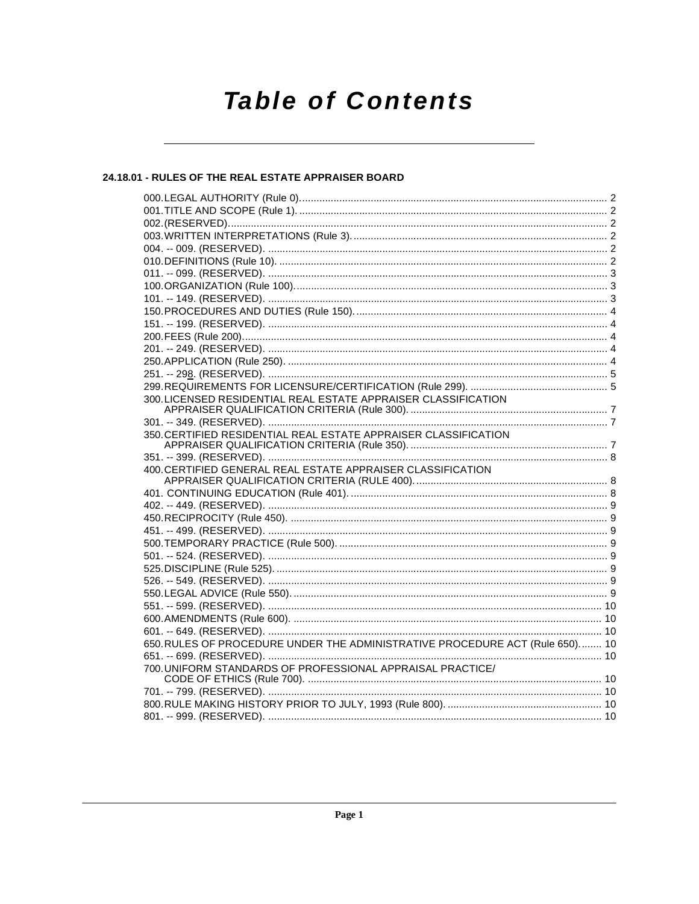# **Table of Contents**

# 24.18.01 - RULES OF THE REAL ESTATE APPRAISER BOARD

| 300. LICENSED RESIDENTIAL REAL ESTATE APPRAISER CLASSIFICATION               |  |
|------------------------------------------------------------------------------|--|
|                                                                              |  |
|                                                                              |  |
| 350. CERTIFIED RESIDENTIAL REAL ESTATE APPRAISER CLASSIFICATION              |  |
|                                                                              |  |
| 400. CERTIFIED GENERAL REAL ESTATE APPRAISER CLASSIFICATION                  |  |
|                                                                              |  |
|                                                                              |  |
|                                                                              |  |
|                                                                              |  |
|                                                                              |  |
|                                                                              |  |
|                                                                              |  |
|                                                                              |  |
|                                                                              |  |
|                                                                              |  |
|                                                                              |  |
|                                                                              |  |
|                                                                              |  |
| 650. RULES OF PROCEDURE UNDER THE ADMINISTRATIVE PROCEDURE ACT (Rule 650) 10 |  |
|                                                                              |  |
| 700. UNIFORM STANDARDS OF PROFESSIONAL APPRAISAL PRACTICE/                   |  |
|                                                                              |  |
|                                                                              |  |
|                                                                              |  |
|                                                                              |  |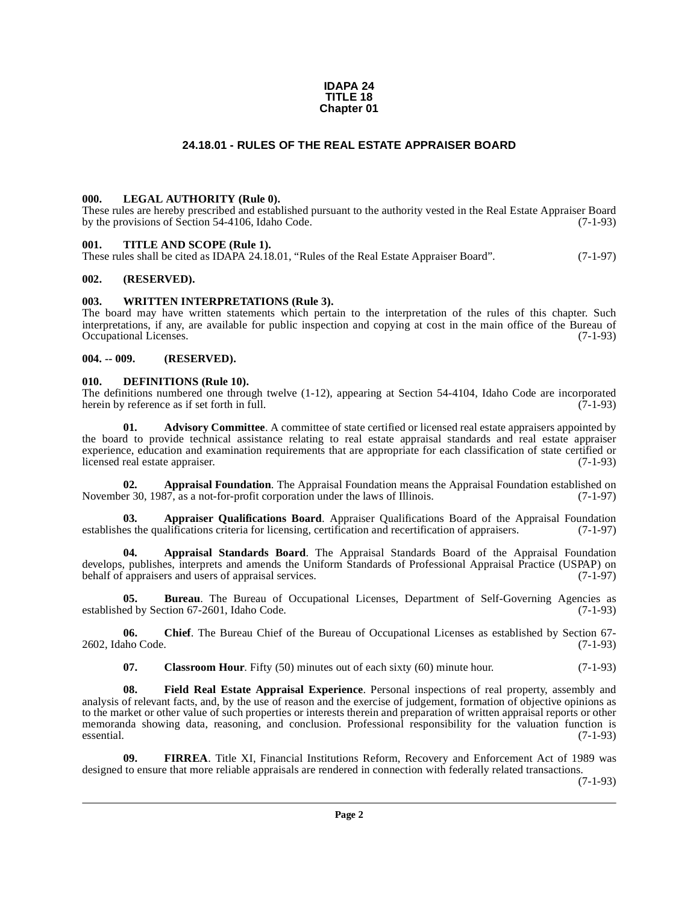#### **IDAPA 24 TITLE 18 Chapter 01**

# **24.18.01 - RULES OF THE REAL ESTATE APPRAISER BOARD**

#### <span id="page-1-1"></span><span id="page-1-0"></span>**000. LEGAL AUTHORITY (Rule 0).**

These rules are hereby prescribed and established pursuant to the authority vested in the Real Estate Appraiser Board by the provisions of Section 54-4106, Idaho Code. (7-1-93)

#### <span id="page-1-2"></span>**001. TITLE AND SCOPE (Rule 1).**

These rules shall be cited as IDAPA 24.18.01, "Rules of the Real Estate Appraiser Board". (7-1-97)

#### <span id="page-1-3"></span>**002. (RESERVED).**

#### <span id="page-1-4"></span>**003. WRITTEN INTERPRETATIONS (Rule 3).**

The board may have written statements which pertain to the interpretation of the rules of this chapter. Such interpretations, if any, are available for public inspection and copying at cost in the main office of the Bureau of Occupational Licenses. (7-1-93)

#### <span id="page-1-5"></span>**004. -- 009. (RESERVED).**

#### <span id="page-1-12"></span><span id="page-1-6"></span>**010. DEFINITIONS (Rule 10).**

The definitions numbered one through twelve  $(1-12)$ , appearing at Section 54-4104, Idaho Code are incorporated herein by reference as if set forth in full.  $(7-1-93)$ herein by reference as if set forth in full.

<span id="page-1-7"></span>**01.** Advisory Committee. A committee of state certified or licensed real estate appraisers appointed by the board to provide technical assistance relating to real estate appraisal standards and real estate appraiser experience, education and examination requirements that are appropriate for each classification of state certified or licensed real estate appraiser. (7-1-93)

<span id="page-1-8"></span>**02. Appraisal Foundation**. The Appraisal Foundation means the Appraisal Foundation established on November 30, 1987, as a not-for-profit corporation under the laws of Illinois. (7-1-97)

<span id="page-1-10"></span>**03. Appraiser Qualifications Board**. Appraiser Qualifications Board of the Appraisal Foundation es the qualifications criteria for licensing, certification and recertification of appraisers. (7-1-97) establishes the qualifications criteria for licensing, certification and recertification of appraisers.

<span id="page-1-9"></span>**04. Appraisal Standards Board**. The Appraisal Standards Board of the Appraisal Foundation develops, publishes, interprets and amends the Uniform Standards of Professional Appraisal Practice (USPAP) on<br>behalf of appraisers and users of appraisal services. (7-1-97) behalf of appraisers and users of appraisal services.

**05. Bureau**. The Bureau of Occupational Licenses, Department of Self-Governing Agencies as established by Section 67-2601, Idaho Code. (7-1-93)

**06. Chief**. The Bureau Chief of the Bureau of Occupational Licenses as established by Section 67- 2602, Idaho Code. (7-1-93)

<span id="page-1-14"></span><span id="page-1-11"></span>**07.** Classroom Hour. Fifty (50) minutes out of each sixty (60) minute hour. (7-1-93)

**08. Field Real Estate Appraisal Experience**. Personal inspections of real property, assembly and analysis of relevant facts, and, by the use of reason and the exercise of judgement, formation of objective opinions as to the market or other value of such properties or interests therein and preparation of written appraisal reports or other memoranda showing data, reasoning, and conclusion. Professional responsibility for the valuation function is essential. (7-1-93)  $e$ ssential.  $(7-1-93)$ 

<span id="page-1-13"></span>**09. FIRREA**. Title XI, Financial Institutions Reform, Recovery and Enforcement Act of 1989 was designed to ensure that more reliable appraisals are rendered in connection with federally related transactions.

(7-1-93)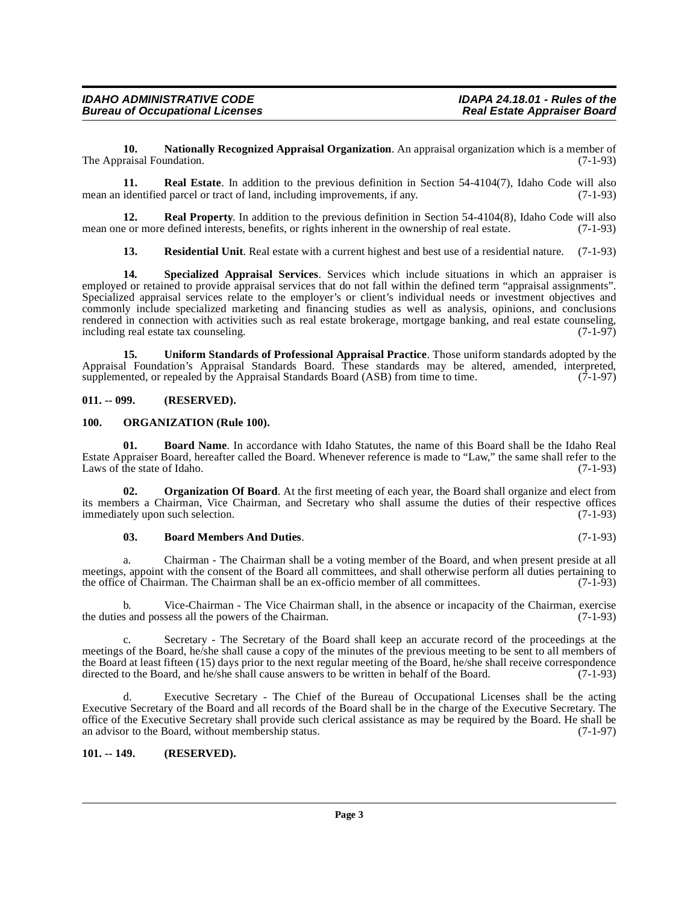<span id="page-2-5"></span>**10. Nationally Recognized Appraisal Organization**. An appraisal organization which is a member of The Appraisal Foundation. (7-1-93)

<span id="page-2-8"></span>**11. Real Estate**. In addition to the previous definition in Section 54-4104(7), Idaho Code will also mean an identified parcel or tract of land, including improvements, if any. (7-1-93)

**12. Real Property**. In addition to the previous definition in Section 54-4104(8), Idaho Code will also e or more defined interests, benefits, or rights inherent in the ownership of real estate. (7-1-93) mean one or more defined interests, benefits, or rights inherent in the ownership of real estate.

<span id="page-2-11"></span><span id="page-2-10"></span><span id="page-2-9"></span>**13. Residential Unit**. Real estate with a current highest and best use of a residential nature. (7-1-93)

**14. Specialized Appraisal Services**. Services which include situations in which an appraiser is employed or retained to provide appraisal services that do not fall within the defined term "appraisal assignments". Specialized appraisal services relate to the employer's or client's individual needs or investment objectives and commonly include specialized marketing and financing studies as well as analysis, opinions, and conclusions rendered in connection with activities such as real estate brokerage, mortgage banking, and real estate counseling, including real estate tax counseling. including real estate tax counseling.

<span id="page-2-12"></span>**15. Uniform Standards of Professional Appraisal Practice**. Those uniform standards adopted by the Appraisal Foundation's Appraisal Standards Board. These standards may be altered, amended, interpreted, supplemented, or repealed by the Appraisal Standards Board (ASB) from time to time. (7-1-97) supplemented, or repealed by the Appraisal Standards Board  $(ASB)$  from time to time.

#### <span id="page-2-0"></span>**011. -- 099. (RESERVED).**

#### <span id="page-2-7"></span><span id="page-2-1"></span>**100. ORGANIZATION (Rule 100).**

<span id="page-2-4"></span>**01. Board Name**. In accordance with Idaho Statutes, the name of this Board shall be the Idaho Real Estate Appraiser Board, hereafter called the Board. Whenever reference is made to "Law," the same shall refer to the Laws of the state of Idaho.

**02. Organization Of Board**. At the first meeting of each year, the Board shall organize and elect from its members a Chairman, Vice Chairman, and Secretary who shall assume the duties of their respective offices immediately upon such selection.

#### <span id="page-2-6"></span><span id="page-2-3"></span>**03. Board Members And Duties**. (7-1-93)

a. Chairman - The Chairman shall be a voting member of the Board, and when present preside at all meetings, appoint with the consent of the Board all committees, and shall otherwise perform all duties pertaining to<br>the office of Chairman. The Chairman shall be an ex-officio member of all committees. (7-1-93) the office of Chairman. The Chairman shall be an ex-officio member of all committees.

b. Vice-Chairman - The Vice Chairman shall, in the absence or incapacity of the Chairman, exercise the duties and possess all the powers of the Chairman. (7-1-93)

c. Secretary - The Secretary of the Board shall keep an accurate record of the proceedings at the meetings of the Board, he/she shall cause a copy of the minutes of the previous meeting to be sent to all members of the Board at least fifteen (15) days prior to the next regular meeting of the Board, he/she shall receive correspondence directed to the Board, and he/she shall cause answers to be written in behalf of the Board. (7-1-93)

Executive Secretary - The Chief of the Bureau of Occupational Licenses shall be the acting Executive Secretary of the Board and all records of the Board shall be in the charge of the Executive Secretary. The office of the Executive Secretary shall provide such clerical assistance as may be required by the Board. He shall be an advisor to the Board, without membership status. (7-1-97)

# <span id="page-2-2"></span>**101. -- 149. (RESERVED).**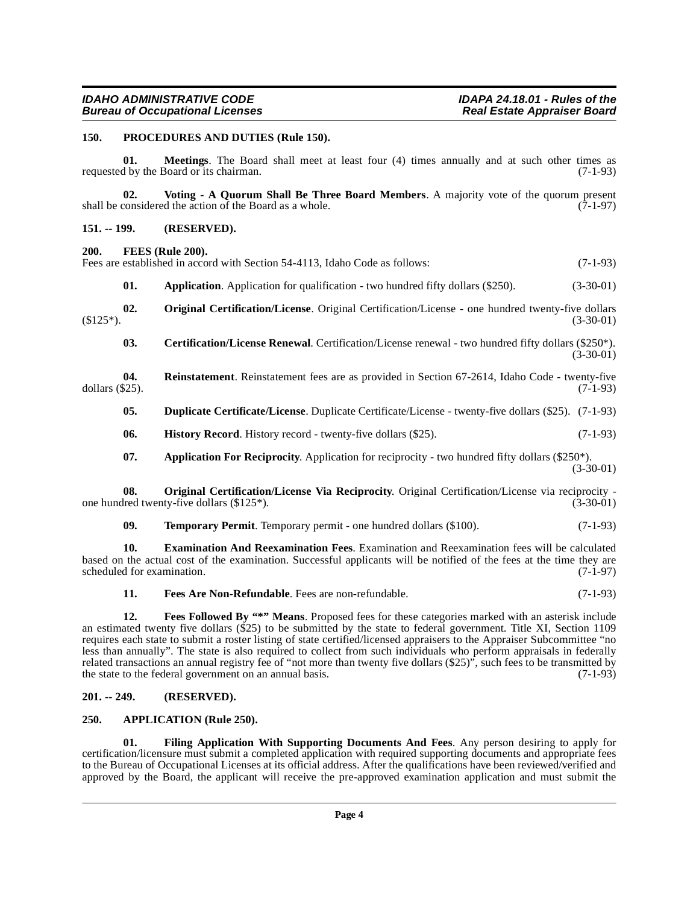#### <span id="page-3-17"></span><span id="page-3-0"></span>**150. PROCEDURES AND DUTIES (Rule 150).**

**01. Meetings**. The Board shall meet at least four (4) times annually and at such other times as requested by the Board or its chairman. (7-1-93)

<span id="page-3-20"></span>**02.** Voting - A Quorum Shall Be Three Board Members. A majority vote of the quorum present considered the action of the Board as a whole. (7-1-97) shall be considered the action of the Board as a whole.

#### <span id="page-3-1"></span>**151. -- 199. (RESERVED).**

#### <span id="page-3-12"></span><span id="page-3-2"></span>**200. FEES (Rule 200).**

<span id="page-3-16"></span>Fees are established in accord with Section 54-4113, Idaho Code as follows: (7-1-93) **01. Application**. Application for qualification - two hundred fifty dollars (\$250). (3-30-01) **02. Original Certification/License**. Original Certification/License - one hundred twenty-five dollars  $(3-30-01)$  (3.30-01) **03.** Certification/License Renewal. Certification/License renewal - two hundred fifty dollars (\$250\*).  $(3-30-01)$ 

**04.** Reinstatement. Reinstatement fees are as provided in Section 67-2614, Idaho Code - twenty-five dollars (\$25). dollars (\$25). (7-1-93)

- <span id="page-3-18"></span><span id="page-3-8"></span><span id="page-3-7"></span>**05. Duplicate Certificate/License**. Duplicate Certificate/License - twenty-five dollars (\$25). (7-1-93)
- <span id="page-3-14"></span>**06. History Record**. History record - twenty-five dollars (\$25). (7-1-93)
- <span id="page-3-15"></span><span id="page-3-5"></span>**07. Application For Reciprocity**. Application for reciprocity - two hundred fifty dollars (\$250\*). (3-30-01)

**08. Original Certification/License Via Reciprocity**. Original Certification/License via reciprocity - lred twenty-five dollars (\$125<sup>\*</sup>). (3-30-01) one hundred twenty-five dollars  $(\$125*)$ .

<span id="page-3-19"></span><span id="page-3-9"></span>**09. Temporary Permit**. Temporary permit - one hundred dollars (\$100). (7-1-93)

**10. Examination And Reexamination Fees**. Examination and Reexamination fees will be calculated based on the actual cost of the examination. Successful applicants will be notified of the fees at the time they are scheduled for examination. (7-1-97) scheduled for examination.

<span id="page-3-11"></span><span id="page-3-10"></span>**11. Fees Are Non-Refundable**. Fees are non-refundable. (7-1-93)

**12. Fees Followed By "\*" Means**. Proposed fees for these categories marked with an asterisk include an estimated twenty five dollars (\$25) to be submitted by the state to federal government. Title XI, Section 1109 requires each state to submit a roster listing of state certified/licensed appraisers to the Appraiser Subcommittee "no less than annually". The state is also required to collect from such individuals who perform appraisals in federally related transactions an annual registry fee of "not more than twenty five dollars (\$25)", such fees to be transmitted by the state to the federal government on an annual basis. (7-1-93)

#### <span id="page-3-3"></span>**201. -- 249. (RESERVED).**

#### <span id="page-3-6"></span><span id="page-3-4"></span>**250. APPLICATION (Rule 250).**

<span id="page-3-13"></span>**01. Filing Application With Supporting Documents And Fees**. Any person desiring to apply for certification/licensure must submit a completed application with required supporting documents and appropriate fees to the Bureau of Occupational Licenses at its official address. After the qualifications have been reviewed/verified and approved by the Board, the applicant will receive the pre-approved examination application and must submit the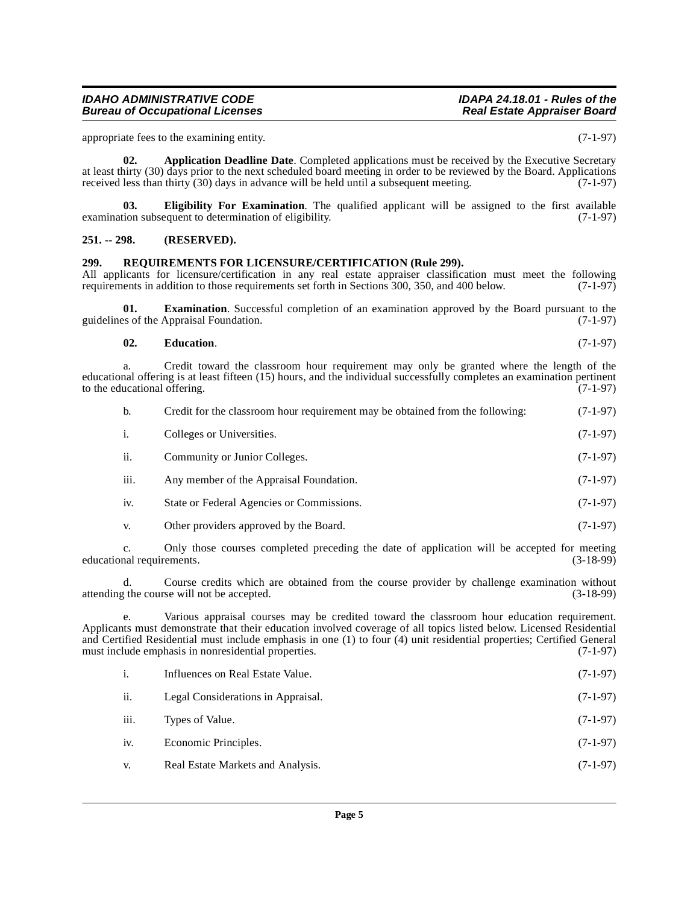appropriate fees to the examining entity. (7-1-97)

<span id="page-4-2"></span>**02.** Application Deadline Date. Completed applications must be received by the Executive Secretary at least thirty (30) days prior to the next scheduled board meeting in order to be reviewed by the Board. Applications received less than thirty (30) days in advance will be held until a subsequent meeting. (7-1-97)

<span id="page-4-4"></span>**03. Eligibility For Examination**. The qualified applicant will be assigned to the first available examination subsequent to determination of eligibility. (7-1-97)

#### <span id="page-4-0"></span>**251. -- 298. (RESERVED).**

#### <span id="page-4-5"></span><span id="page-4-1"></span>**299. REQUIREMENTS FOR LICENSURE/CERTIFICATION (Rule 299).**

All applicants for licensure/certification in any real estate appraiser classification must meet the following requirements in addition to those requirements set forth in Sections 300, 350, and 400 below. (7-1-97)

**01. Examination**. Successful completion of an examination approved by the Board pursuant to the ss of the Appraisal Foundation. (7-1-97) guidelines of the Appraisal Foundation.

#### <span id="page-4-3"></span>**02. Education**. (7-1-97)

a. Credit toward the classroom hour requirement may only be granted where the length of the educational offering is at least fifteen (15) hours, and the individual successfully completes an examination pertinent to the educational offering. (7-1-97) to the educational offering.

| b.             | Credit for the classroom hour requirement may be obtained from the following: | $(7-1-97)$ |
|----------------|-------------------------------------------------------------------------------|------------|
| $\mathbf{1}$ . | Colleges or Universities.                                                     | $(7-1-97)$ |
| ii.            | Community or Junior Colleges.                                                 | $(7-1-97)$ |
| iii.           | Any member of the Appraisal Foundation.                                       | $(7-1-97)$ |
| 1V.            | State or Federal Agencies or Commissions.                                     | $(7-1-97)$ |

v. Other providers approved by the Board. (7-1-97)

c. Only those courses completed preceding the date of application will be accepted for meeting educational requirements. (3-18-99)

d. Course credits which are obtained from the course provider by challenge examination without attending the course will not be accepted. (3-18-99)

Various appraisal courses may be credited toward the classroom hour education requirement. Applicants must demonstrate that their education involved coverage of all topics listed below. Licensed Residential and Certified Residential must include emphasis in one (1) to four (4) unit residential properties; Certified General must include emphasis in nonresidential properties.  $(7-1-97)$ must include emphasis in nonresidential properties.

|      | Influences on Real Estate Value.   | $(7-1-97)$ |
|------|------------------------------------|------------|
| ii.  | Legal Considerations in Appraisal. | $(7-1-97)$ |
| iii. | Types of Value.                    | $(7-1-97)$ |
| iv.  | Economic Principles.               | $(7-1-97)$ |
| V.   | Real Estate Markets and Analysis.  | $(7-1-97)$ |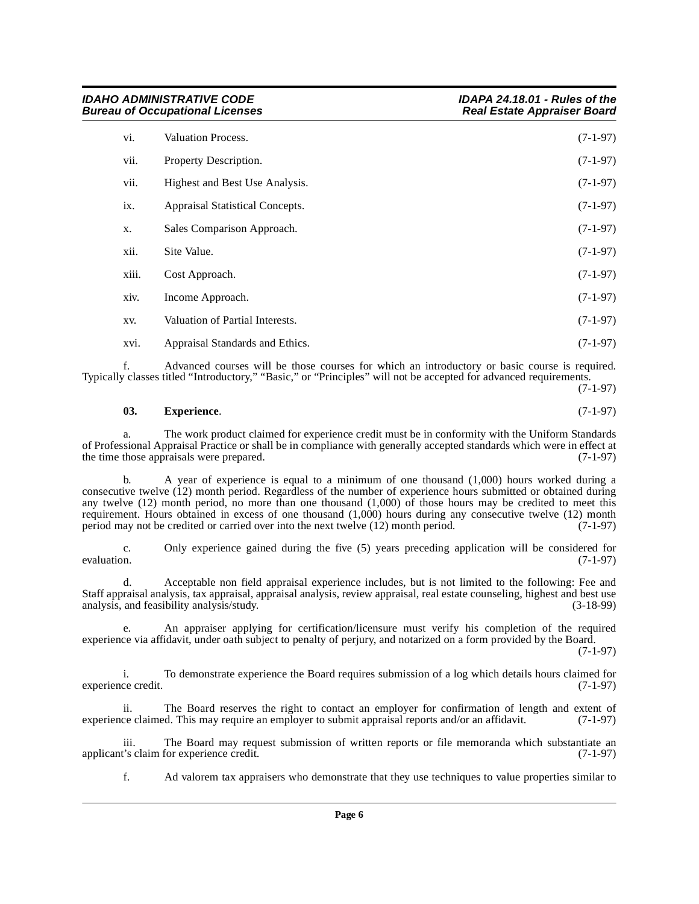| vi.   | Valuation Process.              | $(7-1-97)$ |
|-------|---------------------------------|------------|
| vii.  | Property Description.           | $(7-1-97)$ |
| vii.  | Highest and Best Use Analysis.  | $(7-1-97)$ |
| ix.   | Appraisal Statistical Concepts. | $(7-1-97)$ |
| X.    | Sales Comparison Approach.      | $(7-1-97)$ |
| xii.  | Site Value.                     | $(7-1-97)$ |
| xiii. | Cost Approach.                  | $(7-1-97)$ |
| xiv.  | Income Approach.                | $(7-1-97)$ |
| XV.   | Valuation of Partial Interests. | $(7-1-97)$ |
| xvi.  | Appraisal Standards and Ethics. | $(7-1-97)$ |

f. Advanced courses will be those courses for which an introductory or basic course is required. Typically classes titled "Introductory," "Basic," or "Principles" will not be accepted for advanced requirements. (7-1-97)

#### <span id="page-5-0"></span>**03. Experience**. (7-1-97)

a. The work product claimed for experience credit must be in conformity with the Uniform Standards of Professional Appraisal Practice or shall be in compliance with generally accepted standards which were in effect at the time those appraisals were prepared.

b. A year of experience is equal to a minimum of one thousand (1,000) hours worked during a consecutive twelve (12) month period. Regardless of the number of experience hours submitted or obtained during any twelve (12) month period, no more than one thousand (1,000) of those hours may be credited to meet this requirement. Hours obtained in excess of one thousand  $(1,000)$  hours during any consecutive twelve  $(12)$  month period may not be credited or carried over into the next twelve  $(12)$  month period.  $(7-1-97)$ period may not be credited or carried over into the next twelve  $(12)$  month period.

c. Only experience gained during the five (5) years preceding application will be considered for evaluation.  $(7-1-97)$ 

d. Acceptable non field appraisal experience includes, but is not limited to the following: Fee and Staff appraisal analysis, tax appraisal, appraisal analysis, review appraisal, real estate counseling, highest and best use analysis, and feasibility analysis/study.

e. An appraiser applying for certification/licensure must verify his completion of the required experience via affidavit, under oath subject to penalty of perjury, and notarized on a form provided by the Board.

(7-1-97)

i. To demonstrate experience the Board requires submission of a log which details hours claimed for experience credit. (7-1-97)

ii. The Board reserves the right to contact an employer for confirmation of length and extent of experience claimed. This may require an employer to submit appraisal reports and/or an affidavit. (7-1-97)

iii. The Board may request submission of written reports or file memoranda which substantiate an t's claim for experience credit. (7-1-97) applicant's claim for experience credit.

f. Ad valorem tax appraisers who demonstrate that they use techniques to value properties similar to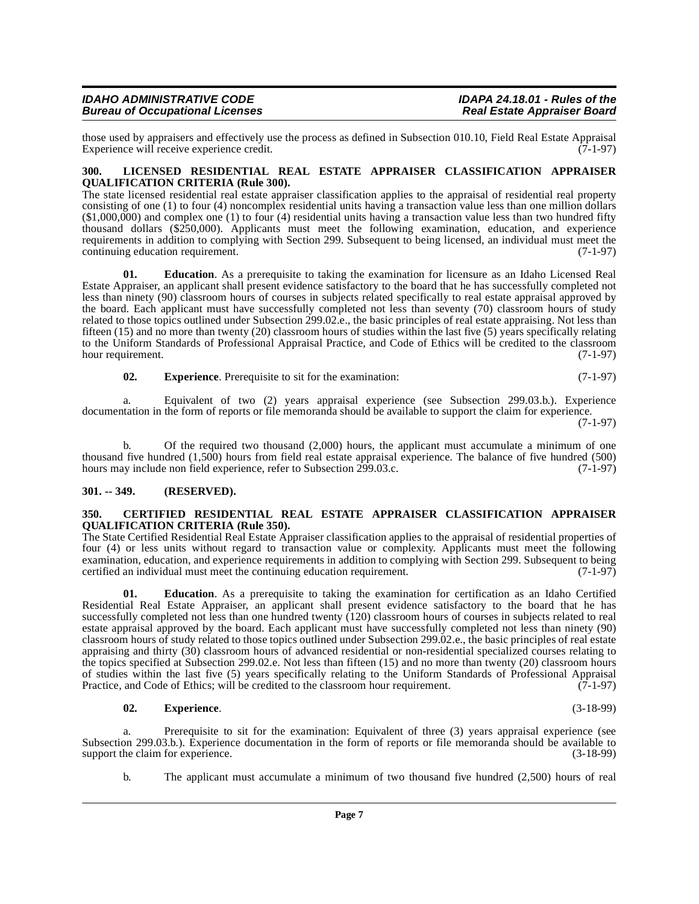| <b>IDAHO ADMINISTRATIVE CODE</b>       | IDAPA 24.18.01 - Rules of the      |
|----------------------------------------|------------------------------------|
| <b>Bureau of Occupational Licenses</b> | <b>Real Estate Appraiser Board</b> |

those used by appraisers and effectively use the process as defined in Subsection 010.10, Field Real Estate Appraisal Experience will receive experience credit. Experience will receive experience credit.

#### <span id="page-6-4"></span><span id="page-6-0"></span>**300. LICENSED RESIDENTIAL REAL ESTATE APPRAISER CLASSIFICATION APPRAISER QUALIFICATION CRITERIA (Rule 300).**

The state licensed residential real estate appraiser classification applies to the appraisal of residential real property consisting of one (1) to four (4) noncomplex residential units having a transaction value less than one million dollars  $(1,000,000)$  and complex one (1) to four (4) residential units having a transaction value less than two hundred fifty thousand dollars (\$250,000). Applicants must meet the following examination, education, and experience requirements in addition to complying with Section 299. Subsequent to being licensed, an individual must meet the continuing education requirement. (7-1-97) continuing education requirement.

**01. Education**. As a prerequisite to taking the examination for licensure as an Idaho Licensed Real Estate Appraiser, an applicant shall present evidence satisfactory to the board that he has successfully completed not less than ninety (90) classroom hours of courses in subjects related specifically to real estate appraisal approved by the board. Each applicant must have successfully completed not less than seventy (70) classroom hours of study related to those topics outlined under Subsection 299.02.e., the basic principles of real estate appraising. Not less than fifteen (15) and no more than twenty (20) classroom hours of studies within the last five (5) years specifically relating to the Uniform Standards of Professional Appraisal Practice, and Code of Ethics will be credited to the classroom hour requirement. (7-1-97)

**02.** Experience. Prerequisite to sit for the examination: (7-1-97)

a. Equivalent of two (2) years appraisal experience (see Subsection 299.03.b.). Experience documentation in the form of reports or file memoranda should be available to support the claim for experience. (7-1-97)

b. Of the required two thousand (2,000) hours, the applicant must accumulate a minimum of one thousand five hundred  $(1,500)$  hours from field real estate appraisal experience. The balance of five hundred (500) hours may include non field experience, refer to Subsection 299.03.c.  $(7-1-97)$ hours may include non field experience, refer to Subsection 299.03.c.

#### <span id="page-6-1"></span>**301. -- 349. (RESERVED).**

#### <span id="page-6-3"></span><span id="page-6-2"></span>**350. CERTIFIED RESIDENTIAL REAL ESTATE APPRAISER CLASSIFICATION APPRAISER QUALIFICATION CRITERIA (Rule 350).**

The State Certified Residential Real Estate Appraiser classification applies to the appraisal of residential properties of four (4) or less units without regard to transaction value or complexity. Applicants must meet the following examination, education, and experience requirements in addition to complying with Section 299. Subsequent to being certified an individual must meet the continuing education requirement. (7-1-97)

**01. Education**. As a prerequisite to taking the examination for certification as an Idaho Certified Residential Real Estate Appraiser, an applicant shall present evidence satisfactory to the board that he has successfully completed not less than one hundred twenty (120) classroom hours of courses in subjects related to real estate appraisal approved by the board. Each applicant must have successfully completed not less than ninety (90) classroom hours of study related to those topics outlined under Subsection 299.02.e., the basic principles of real estate appraising and thirty (30) classroom hours of advanced residential or non-residential specialized courses relating to the topics specified at Subsection 299.02.e. Not less than fifteen (15) and no more than twenty (20) classroom hours of studies within the last five (5) years specifically relating to the Uniform Standards of Professional Appraisal Practice, and Code of Ethics; will be credited to the classroom hour requirement.  $(\vec{7})$ -1-97)

#### **02. Experience**. (3-18-99)

a. Prerequisite to sit for the examination: Equivalent of three (3) years appraisal experience (see Subsection 299.03.b.). Experience documentation in the form of reports or file memoranda should be available to support the claim for experience. (3-18-99) support the claim for experience.

b. The applicant must accumulate a minimum of two thousand five hundred (2,500) hours of real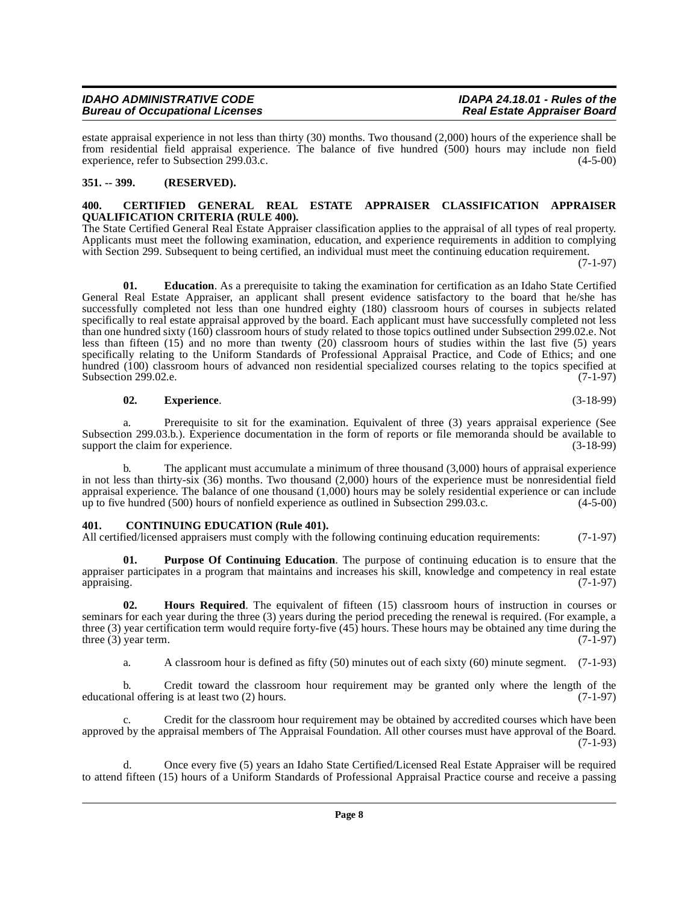estate appraisal experience in not less than thirty (30) months. Two thousand (2,000) hours of the experience shall be from residential field appraisal experience. The balance of five hundred (500) hours may include non field experience, refer to Subsection 299.03.c.

### <span id="page-7-0"></span>**351. -- 399. (RESERVED).**

#### <span id="page-7-3"></span><span id="page-7-1"></span>**400. CERTIFIED GENERAL REAL ESTATE APPRAISER CLASSIFICATION APPRAISER QUALIFICATION CRITERIA (RULE 400).**

The State Certified General Real Estate Appraiser classification applies to the appraisal of all types of real property. Applicants must meet the following examination, education, and experience requirements in addition to complying with Section 299. Subsequent to being certified, an individual must meet the continuing education requirement.

(7-1-97)

**01. Education**. As a prerequisite to taking the examination for certification as an Idaho State Certified General Real Estate Appraiser, an applicant shall present evidence satisfactory to the board that he/she has successfully completed not less than one hundred eighty (180) classroom hours of courses in subjects related specifically to real estate appraisal approved by the board. Each applicant must have successfully completed not less than one hundred sixty (160) classroom hours of study related to those topics outlined under Subsection 299.02.e. Not less than fifteen (15) and no more than twenty (20) classroom hours of studies within the last five (5) years specifically relating to the Uniform Standards of Professional Appraisal Practice, and Code of Ethics; and one hundred (100) classroom hours of advanced non residential specialized courses relating to the topics specified at Subsection 299.02.e. (7-1-97) Subsection 299.02.e.

#### **02. Experience**. (3-18-99)

a. Prerequisite to sit for the examination. Equivalent of three (3) years appraisal experience (See Subsection 299.03.b.). Experience documentation in the form of reports or file memoranda should be available to support the claim for experience. support the claim for experience.

b. The applicant must accumulate a minimum of three thousand (3,000) hours of appraisal experience in not less than thirty-six (36) months. Two thousand (2,000) hours of the experience must be nonresidential field appraisal experience. The balance of one thousand  $(1,000)$  hours may be solely residential experience or can include up to five hundred  $(500)$  hours of nonfield experience as outlined in Subsection 299.03.c.  $(4-5-00)$ up to five hundred (500) hours of nonfield experience as outlined in Subsection 299.03.c.

### <span id="page-7-4"></span><span id="page-7-2"></span>**401. CONTINUING EDUCATION (Rule 401).**

All certified/licensed appraisers must comply with the following continuing education requirements: (7-1-97)

<span id="page-7-6"></span>**01. Purpose Of Continuing Education**. The purpose of continuing education is to ensure that the appraiser participates in a program that maintains and increases his skill, knowledge and competency in real estate appraising. (7-1-97) appraising. (7-1-97)

**02. Hours Required**. The equivalent of fifteen (15) classroom hours of instruction in courses or seminars for each year during the three (3) years during the period preceding the renewal is required. (For example, a three (3) year certification term would require forty-five (45) hours. These hours may be obtained any time during the three (3) year term.  $(7-1-97)$ three  $(3)$  year term.

<span id="page-7-5"></span>a. A classroom hour is defined as fifty (50) minutes out of each sixty (60) minute segment. (7-1-93)

b. Credit toward the classroom hour requirement may be granted only where the length of the nal offering is at least two  $(2)$  hours.  $(7-1-97)$ educational offering is at least two  $(2)$  hours.

c. Credit for the classroom hour requirement may be obtained by accredited courses which have been approved by the appraisal members of The Appraisal Foundation. All other courses must have approval of the Board. (7-1-93)

d. Once every five (5) years an Idaho State Certified/Licensed Real Estate Appraiser will be required to attend fifteen (15) hours of a Uniform Standards of Professional Appraisal Practice course and receive a passing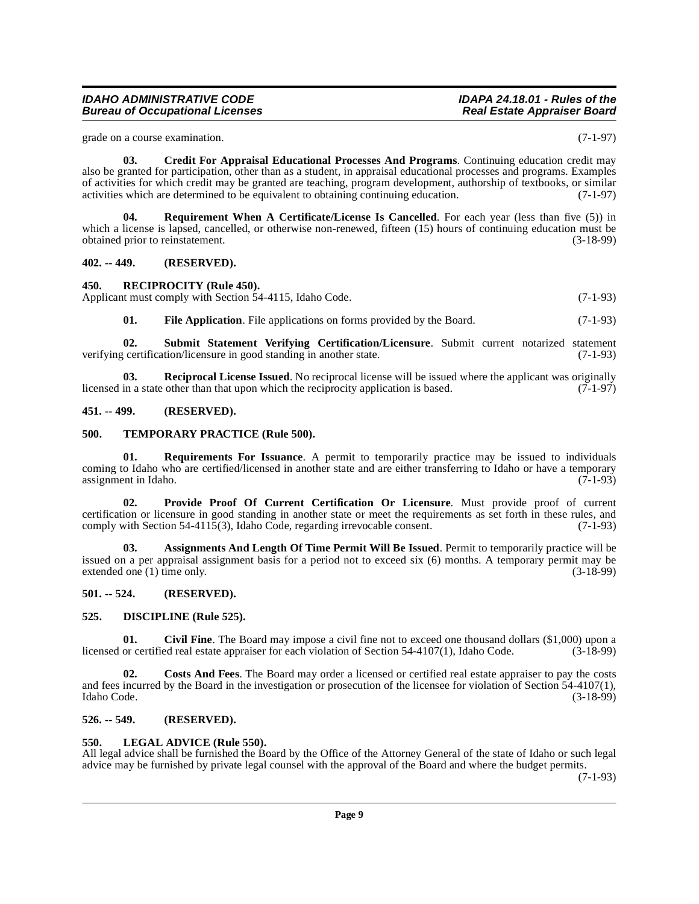grade on a course examination. (7-1-97)

<span id="page-8-11"></span>**03. Credit For Appraisal Educational Processes And Programs**. Continuing education credit may also be granted for participation, other than as a student, in appraisal educational processes and programs. Examples of activities for which credit may be granted are teaching, program development, authorship of textbooks, or similar activities which are determined to be equivalent to obtaining continuing education. (7-1-97)

<span id="page-8-18"></span>**04. Requirement When A Certificate/License Is Cancelled**. For each year (less than five (5)) in which a license is lapsed, cancelled, or otherwise non-renewed, fifteen (15) hours of continuing education must be obtained prior to reinstatement. (3-18-99)

#### <span id="page-8-0"></span>**402. -- 449. (RESERVED).**

#### <span id="page-8-17"></span><span id="page-8-1"></span>**450. RECIPROCITY (Rule 450).**

Applicant must comply with Section 54-4115, Idaho Code. (7-1-93)

<span id="page-8-20"></span><span id="page-8-16"></span><span id="page-8-13"></span>**01.** File Application. File applications on forms provided by the Board. (7-1-93)

**02. Submit Statement Verifying Certification/Licensure**. Submit current notarized statement verifying certification/licensure in good standing in another state. (7-1-93)

**03. Reciprocal License Issued**. No reciprocal license will be issued where the applicant was originally in a state other than that upon which the reciprocity application is based. (7-1-97) licensed in a state other than that upon which the reciprocity application is based.

#### <span id="page-8-2"></span>**451. -- 499. (RESERVED).**

#### <span id="page-8-21"></span><span id="page-8-3"></span>**500. TEMPORARY PRACTICE (Rule 500).**

<span id="page-8-19"></span>**01. Requirements For Issuance**. A permit to temporarily practice may be issued to individuals coming to Idaho who are certified/licensed in another state and are either transferring to Idaho or have a temporary assignment in Idaho. (7-1-93) assignment in Idaho.

<span id="page-8-15"></span>**02. Provide Proof Of Current Certification Or Licensure**. Must provide proof of current certification or licensure in good standing in another state or meet the requirements as set forth in these rules, and comply with Section 54-4115(3), Idaho Code, regarding irrevocable consent. (7-1-93) comply with Section 54-4115(3), Idaho Code, regarding irrevocable consent.

<span id="page-8-8"></span>**03. Assignments And Length Of Time Permit Will Be Issued**. Permit to temporarily practice will be issued on a per appraisal assignment basis for a period not to exceed six (6) months. A temporary permit may be extended one (1) time only. (3-18-99) extended one  $(1)$  time only.

#### <span id="page-8-4"></span>**501. -- 524. (RESERVED).**

#### <span id="page-8-12"></span><span id="page-8-5"></span>**525. DISCIPLINE (Rule 525).**

<span id="page-8-9"></span>**01.** Civil Fine. The Board may impose a civil fine not to exceed one thousand dollars (\$1,000) upon a or certified real estate appraiser for each violation of Section 54-4107(1). Idaho Code. (3-18-99) licensed or certified real estate appraiser for each violation of Section 54-4107(1), Idaho Code.

<span id="page-8-10"></span>**02. Costs And Fees**. The Board may order a licensed or certified real estate appraiser to pay the costs and fees incurred by the Board in the investigation or prosecution of the licensee for violation of Section 54-4107(1), Idaho Code. (3-18-99) Idaho Code. (3-18-99)

#### <span id="page-8-6"></span>**526. -- 549. (RESERVED).**

#### <span id="page-8-14"></span><span id="page-8-7"></span>**550. LEGAL ADVICE (Rule 550).**

All legal advice shall be furnished the Board by the Office of the Attorney General of the state of Idaho or such legal advice may be furnished by private legal counsel with the approval of the Board and where the budget permits.

(7-1-93)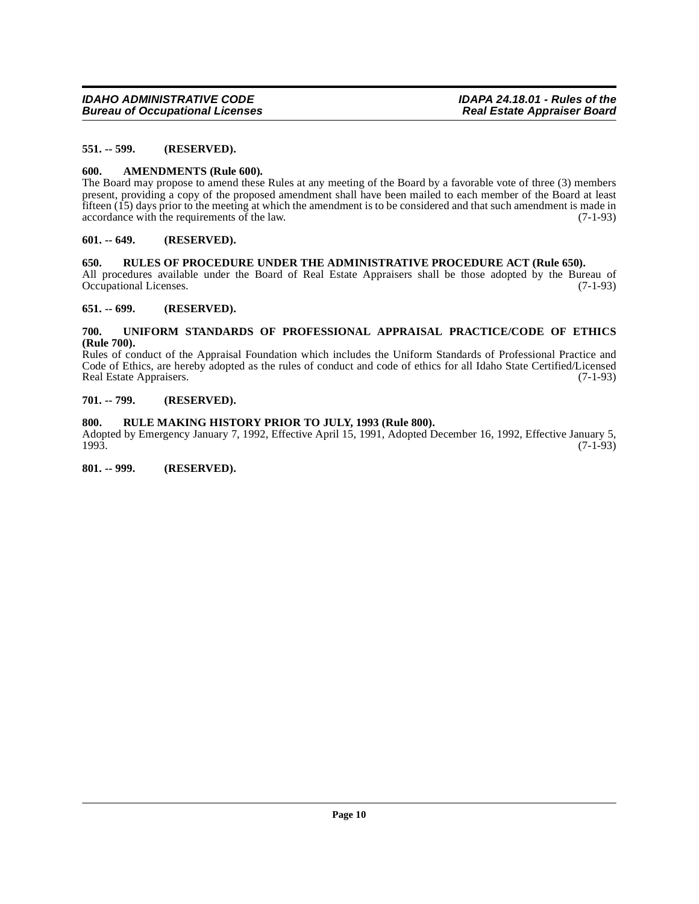#### <span id="page-9-0"></span>**551. -- 599. (RESERVED).**

#### <span id="page-9-9"></span><span id="page-9-1"></span>**600. AMENDMENTS (Rule 600).**

The Board may propose to amend these Rules at any meeting of the Board by a favorable vote of three (3) members present, providing a copy of the proposed amendment shall have been mailed to each member of the Board at least fifteen (15) days prior to the meeting at which the amendment is to be considered and that such amendment is made in accordance with the requirements of the law. (7-1-93)

#### <span id="page-9-2"></span>**601. -- 649. (RESERVED).**

#### <span id="page-9-10"></span><span id="page-9-3"></span>**650. RULES OF PROCEDURE UNDER THE ADMINISTRATIVE PROCEDURE ACT (Rule 650).**

All procedures available under the Board of Real Estate Appraisers shall be those adopted by the Bureau of Occupational Licenses. (7-1-93)

#### <span id="page-9-4"></span>**651. -- 699. (RESERVED).**

#### <span id="page-9-11"></span><span id="page-9-5"></span>**700. UNIFORM STANDARDS OF PROFESSIONAL APPRAISAL PRACTICE/CODE OF ETHICS (Rule 700).**

Rules of conduct of the Appraisal Foundation which includes the Uniform Standards of Professional Practice and Code of Ethics, are hereby adopted as the rules of conduct and code of ethics for all Idaho State Certified/Licensed<br>Real Estate Appraisers. (7-1-93) Real Estate Appraisers.

#### <span id="page-9-6"></span>**701. -- 799. (RESERVED).**

### <span id="page-9-7"></span>**800. RULE MAKING HISTORY PRIOR TO JULY, 1993 (Rule 800).**

Adopted by Emergency January 7, 1992, Effective April 15, 1991, Adopted December 16, 1992, Effective January 5, 1993. 1993. (7-1-93)

<span id="page-9-8"></span>**801. -- 999. (RESERVED).**